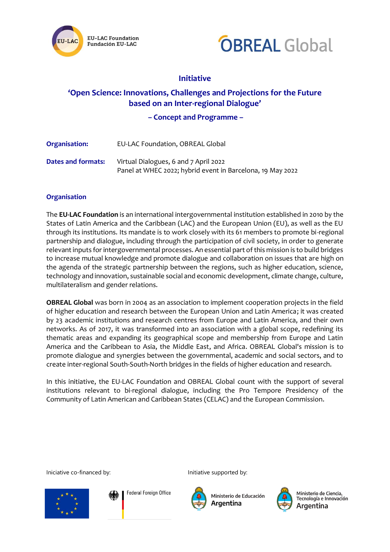



# **Initiative**

# **'Open Science: Innovations, Challenges and Projections for the Future based on an Inter-regional Dialogue'**

**– Concept and Programme –**

| Organisation:      | EU-LAC Foundation, OBREAL Global                                                                    |
|--------------------|-----------------------------------------------------------------------------------------------------|
| Dates and formats: | Virtual Dialogues, 6 and 7 April 2022<br>Panel at WHEC 2022; hybrid event in Barcelona, 19 May 2022 |

# **Organisation**

The **EU-LAC Foundation** is an international intergovernmental institution established in 2010 by the States of Latin America and the Caribbean (LAC) and the European Union (EU), as well as the EU through its institutions. Its mandate is to work closely with its 61 members to promote bi-regional partnership and dialogue, including through the participation of civil society, in order to generate relevant inputs for intergovernmental processes. An essential part of this mission is to build bridges to increase mutual knowledge and promote dialogue and collaboration on issues that are high on the agenda of the strategic partnership between the regions, such as higher education, science, technology and innovation, sustainable social and economic development, climate change, culture, multilateralism and gender relations.

**OBREAL Global** was born in 2004 as an association to implement cooperation projects in the field of higher education and research between the European Union and Latin America; it was created by 23 academic institutions and research centres from Europe and Latin America, and their own networks. As of 2017, it was transformed into an association with a global scope, redefining its thematic areas and expanding its geographical scope and membership from Europe and Latin America and the Caribbean to Asia, the Middle East, and Africa. OBREAL Global's mission is to promote dialogue and synergies between the governmental, academic and social sectors, and to create inter-regional South-South-North bridges in the fields of higher education and research.

In this initiative, the EU-LAC Foundation and OBREAL Global count with the support of several institutions relevant to bi-regional dialogue, including the Pro Tempore Presidency of the Community of Latin American and Caribbean States (CELAC) and the European Commission.

Iniciative co-financed by: Initiative supported by:



**Federal Foreign Office** 



Ministerio de Educación Argentina



Ministerio de Ciencia, Argentina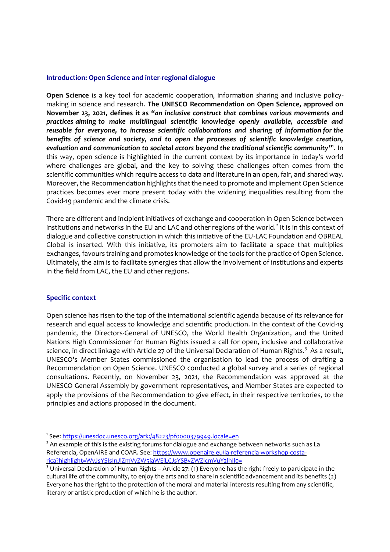# **Introduction: Open Science and inter-regional dialogue**

**Open Science** is a key tool for academic cooperation, information sharing and inclusive policymaking in science and research. **The UNESCO Recommendation on Open Science, approved on November 23, 2021, defines it as "***an inclusive construct that combines various movements and practices aiming to make multilingual scientific knowledge openly available, accessible and reusable for everyone, to increase scientific collaborations and sharing of information for the benefits of science and society, and to open the processes of scientific knowledge creation, evaluation and communication to societal actors beyond the traditional scientific community***"** 1 . In this way, open science is highlighted in the current context by its importance in today's world where challenges are global, and the key to solving these challenges often comes from the scientific communities which require access to data and literature in an open, fair, and shared way. Moreover, the Recommendation highlights that the need to promote and implement Open Science practices becomes ever more present today with the widening inequalities resulting from the Covid-19 pandemic and the climate crisis.

There are different and incipient initiatives of exchange and cooperation in Open Science between institutions and networks in the EU and LAC and other regions of the world.<sup>2</sup> It is in this context of dialogue and collective construction in which this initiative of the EU-LAC Foundation and OBREAL Global is inserted. With this initiative, its promoters aim to facilitate a space that multiplies exchanges, favours training and promotes knowledge of the tools for the practice of Open Science. Ultimately, the aim is to facilitate synergies that allow the involvement of institutions and experts in the field from LAC, the EU and other regions.

### **Specific context**

Open science has risen to the top of the international scientific agenda because of its relevance for research and equal access to knowledge and scientific production. In the context of the Covid-19 pandemic, the Directors-General of UNESCO, the World Health Organization, and the United Nations High Commissioner for Human Rights issued a call for open, inclusive and collaborative science, in direct linkage with Article 27 of the Universal Declaration of Human Rights.<sup>3</sup> As a result, UNESCO's Member States commissioned the organisation to lead the process of drafting a Recommendation on Open Science. UNESCO conducted a global survey and a series of regional consultations. Recently, on November 23, 2021, the Recommendation was approved at the UNESCO General Assembly by government representatives, and Member States are expected to apply the provisions of the Recommendation to give effect, in their respective territories, to the principles and actions proposed in the document.

<sup>&</sup>lt;sup>1</sup>See: <u><https://unesdoc.unesco.org/ark:/48223/pf0000379949.locale=en></u>

 $<sup>2</sup>$  An example of this is the existing forums for dialogue and exchange between networks such as La</sup> Referencia, OpenAIRE and COAR. See: [https://www.openaire.eu/la-referencia-workshop-costa](https://www.openaire.eu/la-referencia-workshop-costa-rica?highlight=WyJsYSIsInJlZmVyZW5jaWEiLCJsYSByZWZlcmVuY2lhIl0=)[rica?highlight=WyJsYSIsInJlZmVyZW5jaWEiLCJsYSByZWZlcmVuY2lhIl0=](https://www.openaire.eu/la-referencia-workshop-costa-rica?highlight=WyJsYSIsInJlZmVyZW5jaWEiLCJsYSByZWZlcmVuY2lhIl0=)

<sup>&</sup>lt;sup>3</sup> Universal Declaration of Human Rights – Article 27: (1) Everyone has the right freely to participate in the cultural life of the community, to enjoy the arts and to share in scientific advancement and its benefits (2) Everyone has the right to the protection of the moral and material interests resulting from any scientific, literary or artistic production of which he is the author.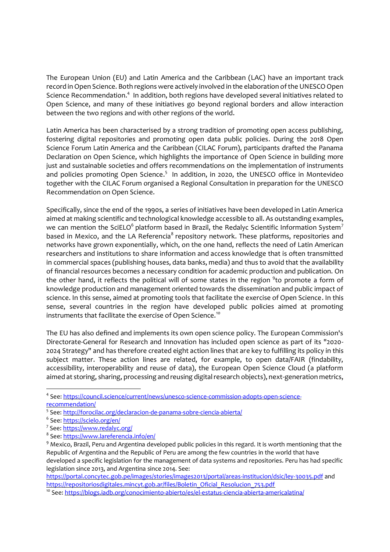The European Union (EU) and Latin America and the Caribbean (LAC) have an important track record in Open Science. Both regions were actively involved in the elaboration of the UNESCO Open Science Recommendation.<sup>4</sup> In addition, both regions have developed several initiatives related to Open Science, and many of these initiatives go beyond regional borders and allow interaction between the two regions and with other regions of the world.

Latin America has been characterised by a strong tradition of promoting open access publishing, fostering digital repositories and promoting open data public policies. During the 2018 Open Science Forum Latin America and the Caribbean (CILAC Forum), participants drafted the Panama Declaration on Open Science, which highlights the importance of Open Science in building more just and sustainable societies and offers recommendations on the implementation of instruments and policies promoting Open Science.<sup>5</sup> In addition, in 2020, the UNESCO office in Montevideo together with the CILAC Forum organised a Regional Consultation in preparation for the UNESCO Recommendation on Open Science.

Specifically, since the end of the 1990s, a series of initiatives have been developed in Latin America aimed at making scientific and technological knowledge accessible to all. As outstanding examples, we can mention the SciELO $^6$  platform based in Brazil, the Redalyc Scientific Information System $^7$ based in Mexico, and the LA Referencia<sup>8</sup> repository network. These platforms, repositories and networks have grown exponentially, which, on the one hand, reflects the need of Latin American researchers and institutions to share information and access knowledge that is often transmitted in commercial spaces (publishing houses, data banks, media) and thus to avoid that the availability of financial resources becomes a necessary condition for academic production and publication. On the other hand, it reflects the political will of some states in the region <sup>9</sup>to promote a form of knowledge production and management oriented towards the dissemination and public impact of science. In this sense, aimed at promoting tools that facilitate the exercise of Open Science. In this sense, several countries in the region have developed public policies aimed at promoting instruments that facilitate the exercise of Open Science. $^{10}$ 

The EU has also defined and implements its own open science policy. The European Commission's Directorate-General for Research and Innovation has included open science as part of its "2020- 2024 Strategy" and has therefore created eight action lines that are key to fulfilling its policy in this subject matter. These action lines are related, for example, to open data/FAIR (findability, accessibility, interoperability and reuse of data), the European Open Science Cloud (a platform aimed at storing, sharing, processing and reusing digital research objects), next-generation metrics,

<https://portal.concytec.gob.pe/images/stories/images2013/portal/areas-institucion/dsic/ley-30035.pdf> and [https://repositoriosdigitales.mincyt.gob.ar/files/Boletin\\_Oficial\\_Resolucion\\_753.pdf](https://repositoriosdigitales.mincyt.gob.ar/files/Boletin_Oficial_Resolucion_753.pdf)

<sup>&</sup>lt;sup>4</sup> See: [https://council.science/current/news/unesco-science-commission-adopts-open-science](https://council.science/current/news/unesco-science-commission-adopts-open-science-recommendation/)[recommendation/](https://council.science/current/news/unesco-science-commission-adopts-open-science-recommendation/)

<sup>&</sup>lt;sup>5</sup> See: <http://forocilac.org/declaracion-de-panama-sobre-ciencia-abierta/>

<sup>&</sup>lt;sup>6</sup> See: <u>https://scielo.org/en</u>/

<sup>&</sup>lt;sup>7</sup> See: <https://www.redalyc.org/>

<sup>&</sup>lt;sup>8</sup> See: <u><https://www.lareferencia.info/en/></u>

<sup>&</sup>lt;sup>9</sup> Mexico, Brazil, Peru and Argentina developed public policies in this regard. It is worth mentioning that the Republic of Argentina and the Republic of Peru are among the few countries in the world that have developed a specific legislation for the management of data systems and repositories. Peru has had specific legislation since 2013, and Argentina since 2014. See:

<sup>10</sup> See: <https://blogs.iadb.org/conocimiento-abierto/es/el-estatus-ciencia-abierta-americalatina/>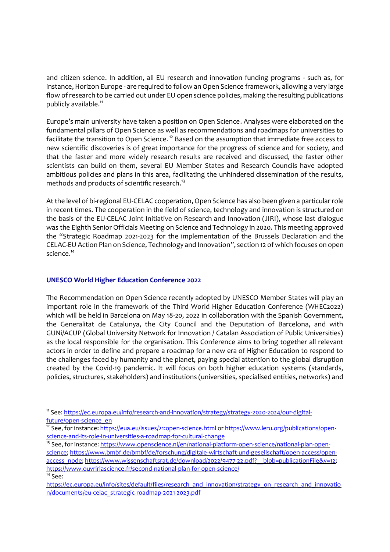and citizen science. In addition, all EU research and innovation funding programs - such as, for instance, Horizon Europe - are required to follow an Open Science framework, allowing a very large flow of research to be carried out under EU open science policies, making the resulting publications publicly available.<sup>11</sup>

Europe's main university have taken a position on Open Science. Analyses were elaborated on the fundamental pillars of Open Science as well as recommendations and roadmaps for universities to facilitate the transition to Open Science.<sup>12</sup> Based on the assumption that immediate free access to new scientific discoveries is of great importance for the progress of science and for society, and that the faster and more widely research results are received and discussed, the faster other scientists can build on them, several EU Member States and Research Councils have adopted ambitious policies and plans in this area, facilitating the unhindered dissemination of the results, methods and products of scientific research. 13

At the level of bi-regional EU-CELAC cooperation, Open Science has also been given a particular role in recent times. The cooperation in the field of science, technology and innovation is structured on the basis of the EU-CELAC Joint Initiative on Research and Innovation (JIRI), whose last dialogue was the Eighth Senior Officials Meeting on Science and Technology in 2020. This meeting approved the "Strategic Roadmap 2021-2023 for the implementation of the Brussels Declaration and the CELAC-EU Action Plan on Science, Technology and Innovation", section 12 of which focuses on open science.<sup>14</sup>

# **UNESCO World Higher Education Conference 2022**

The Recommendation on Open Science recently adopted by UNESCO Member States will play an important role in the framework of the Third World Higher Education Conference (WHEC2022) which will be held in Barcelona on May 18-20, 2022 in collaboration with the Spanish Government, the Generalitat de Catalunya, the City Council and the Deputation of Barcelona, and with GUNi/ACUP (Global University Network for Innovation / Catalan Association of Public Universities) as the local responsible for the organisation. This Conference aims to bring together all relevant actors in order to define and prepare a roadmap for a new era of Higher Education to respond to the challenges faced by humanity and the planet, paying special attention to the global disruption created by the Covid-19 pandemic. It will focus on both higher education systems (standards, policies, structures, stakeholders) and institutions (universities, specialised entities, networks) and

- <sup>13</sup> See, for instance: [https://www.openscience.nl/en/national-platform-open-science/national-plan-open](https://www.openscience.nl/en/national-platform-open-science/national-plan-open-science)[science;](https://www.openscience.nl/en/national-platform-open-science/national-plan-open-science) [https://www.bmbf.de/bmbf/de/forschung/digitale-wirtschaft-und-gesellschaft/open-access/open](https://www.bmbf.de/bmbf/de/forschung/digitale-wirtschaft-und-gesellschaft/open-access/open-access_node)[access\\_node;](https://www.bmbf.de/bmbf/de/forschung/digitale-wirtschaft-und-gesellschaft/open-access/open-access_node) [https://www.wissenschaftsrat.de/download/2022/9477-22.pdf?\\_\\_blob=publicationFile&v=12;](https://www.wissenschaftsrat.de/download/2022/9477-22.pdf?__blob=publicationFile&v=12) <https://www.ouvrirlascience.fr/second-national-plan-for-open-science/>  $14$  See:
- [https://ec.europa.eu/info/sites/default/files/research\\_and\\_innovation/strategy\\_on\\_research\\_and\\_innovatio](https://ec.europa.eu/info/sites/default/files/research_and_innovation/strategy_on_research_and_innovation/documents/eu-celac_strategic-roadmap-2021-2023.pdf) [n/documents/eu-celac\\_strategic-roadmap-2021-2023.pdf](https://ec.europa.eu/info/sites/default/files/research_and_innovation/strategy_on_research_and_innovation/documents/eu-celac_strategic-roadmap-2021-2023.pdf)

<sup>11</sup> See: [https://ec.europa.eu/info/research-and-innovation/strategy/strategy-2020-2024/our-digital](https://ec.europa.eu/info/research-and-innovation/strategy/strategy-2020-2024/our-digital-future/open-science_en)[future/open-science\\_en](https://ec.europa.eu/info/research-and-innovation/strategy/strategy-2020-2024/our-digital-future/open-science_en)

<sup>&</sup>lt;sup>12</sup> See, for instance: <https://eua.eu/issues/21:open-science.html> or [https://www.leru.org/publications/open](https://www.leru.org/publications/open-science-and-its-role-in-universities-a-roadmap-for-cultural-change)[science-and-its-role-in-universities-a-roadmap-for-cultural-change](https://www.leru.org/publications/open-science-and-its-role-in-universities-a-roadmap-for-cultural-change)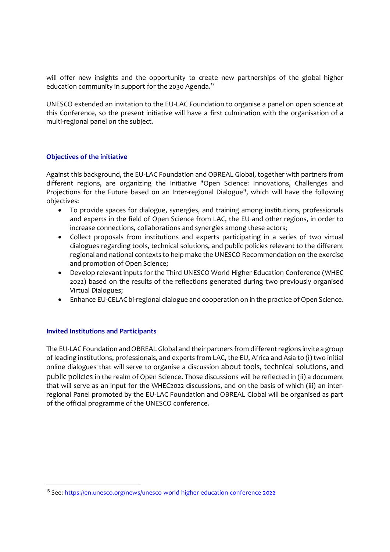will offer new insights and the opportunity to create new partnerships of the global higher education community in support for the 2030 Agenda.<sup>15</sup>

UNESCO extended an invitation to the EU-LAC Foundation to organise a panel on open science at this Conference, so the present initiative will have a first culmination with the organisation of a multi-regional panel on the subject.

# **Objectives of the initiative**

Against this background, the EU-LAC Foundation and OBREAL Global, together with partners from different regions, are organizing the Initiative "Open Science: Innovations, Challenges and Projections for the Future based on an Inter-regional Dialogue", which will have the following objectives:

- To provide spaces for dialogue, synergies, and training among institutions, professionals and experts in the field of Open Science from LAC, the EU and other regions, in order to increase connections, collaborations and synergies among these actors;
- Collect proposals from institutions and experts participating in a series of two virtual dialogues regarding tools, technical solutions, and public policies relevant to the different regional and national contexts to help make the UNESCO Recommendation on the exercise and promotion of Open Science;
- Develop relevant inputs for the Third UNESCO World Higher Education Conference (WHEC 2022) based on the results of the reflections generated during two previously organised Virtual Dialogues;
- Enhance EU-CELAC bi-regional dialogue and cooperation on in the practice of Open Science.

### **Invited Institutions and Participants**

The EU-LAC Foundation and OBREAL Global and their partners from different regions invite a group of leading institutions, professionals, and experts from LAC, the EU, Africa and Asia to (i) two initial online dialogues that will serve to organise a discussion about tools, technical solutions, and public policies in the realm of Open Science. Those discussions will be reflected in (ii) a document that will serve as an input for the WHEC2022 discussions, and on the basis of which (iii) an interregional Panel promoted by the EU-LAC Foundation and OBREAL Global will be organised as part of the official programme of the UNESCO conference.

<sup>&</sup>lt;sup>15</sup> See: <https://en.unesco.org/news/unesco-world-higher-education-conference-2022>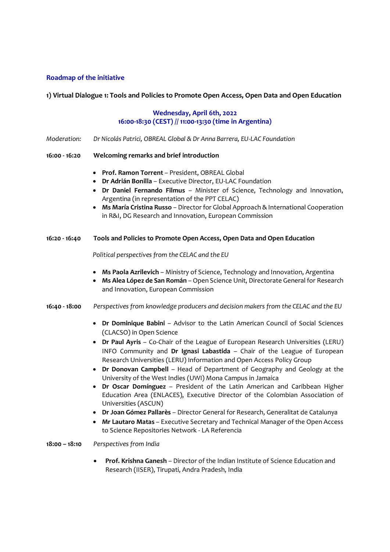### **Roadmap of the initiative**

### **1) Virtual Dialogue 1: Tools and Policies to Promote Open Access, Open Data and Open Education**

# **Wednesday, April 6th, 2022 16:00-18:30 (CEST) // 11:00-13:30 (time in Argentina)**

*Moderation: Dr Nicolás Patrici, OBREAL Global & Dr Anna Barrera, EU-LAC Foundation*

#### **16:00 - 16:20 Welcoming remarks and brief introduction**

- **Prof. Ramon Torrent** President, OBREAL Global
- **Dr Adrián Bonilla** Executive Director, EU-LAC Foundation
- **Dr Daniel Fernando Filmus** Minister of Science, Technology and Innovation, Argentina (in representation of the PPT CELAC)
- **Ms María Cristina Russo** Director for Global Approach & International Cooperation in R&I, DG Research and Innovation, European Commission

#### **16:20 - 16:40 Tools and Policies to Promote Open Access, Open Data and Open Education**

*Political perspectives from the CELAC and the EU*

- **Ms Paola Azrilevich** Ministry of Science, Technology and Innovation, Argentina
- **Ms Alea López de San Román** Open Science Unit, Directorate General for Research and Innovation, European Commission
- **16:40 - 18:00** *Perspectives from knowledge producers and decision makers from the CELAC and the EU*
	- **Dr Dominique Babini** Advisor to the Latin American Council of Social Sciences (CLACSO) in Open Science
	- **Dr Paul Ayris**  Co-Chair of the League of European Research Universities (LERU) INFO Community and **Dr Ignasi Labastida** – Chair of the League of European Research Universities (LERU) Information and Open Access Policy Group
	- **Dr Donovan Campbell** Head of Department of Geography and Geology at the University of the West Indies (UWI) Mona Campus in Jamaica
	- **Dr Oscar Domínguez** President of the Latin American and Caribbean Higher Education Area (ENLACES), Executive Director of the Colombian Association of Universities (ASCUN)
	- **Dr Joan Gómez Pallarès** Director General for Research, Generalitat de Catalunya
	- **Mr Lautaro Matas** Executive Secretary and Technical Manager of the Open Access to Science Repositories Network - LA Referencia

#### **18:00 – 18:10** *Perspectives from India*

• **Prof. Krishna Ganesh** – Director of the Indian Institute of Science Education and Research (IISER), Tirupati, Andra Pradesh, India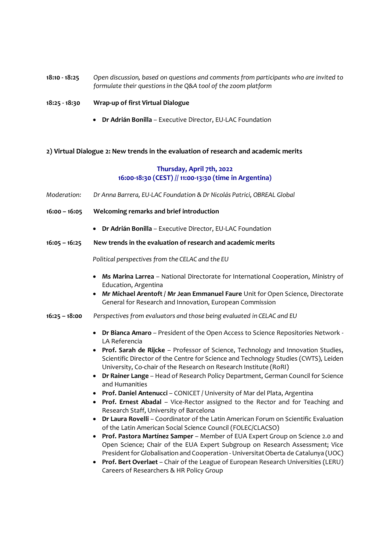## **18:10 - 18:25** *Open discussion, based on questions and comments from participants who are invited to formulate their questions in the Q&A tool of the zoom platform*

- **18:25 - 18:30 Wrap-up of first Virtual Dialogue**
	- **Dr Adrián Bonilla** Executive Director, EU-LAC Foundation

### **2) Virtual Dialogue 2: New trends in the evaluation of research and academic merits**

## **Thursday, April 7th, 2022 16:00-18:30 (CEST) // 11:00-13:30 (time in Argentina)**

- *Moderation: Dr Anna Barrera, EU-LAC Foundation & Dr Nicolás Patrici, OBREAL Global*
- **16:00 – 16:05 Welcoming remarks and brief introduction**
	- **Dr Adrián Bonilla** Executive Director, EU-LAC Foundation
- **16:05 – 16:25 New trends in the evaluation of research and academic merits**

*Political perspectives from the CELAC and the EU*

- **Ms Marina Larrea** National Directorate for International Cooperation, Ministry of Education, Argentina
- **Mr Michael Arentoft / Mr Jean Emmanuel Faure** Unit for Open Science, Directorate General for Research and Innovation, European Commission
- **16:25 – 18:00** *Perspectives from evaluators and those being evaluated in CELAC and EU* 
	- **Dr Bianca Amaro** President of the Open Access to Science Repositories Network LA Referencia
	- **Prof. Sarah de Rijcke** Professor of Science, Technology and Innovation Studies, Scientific Director of the Centre for Science and Technology Studies (CWTS), Leiden University, Co-chair of the Research on Research Institute (RoRI)
	- **Dr Rainer Lange**  Head of Research Policy Department, German Council for Science and Humanities
	- **Prof. Daniel Antenucci**  CONICET / University of Mar del Plata, Argentina
	- **Prof. Ernest Abadal** Vice-Rector assigned to the Rector and for Teaching and Research Staff, University of Barcelona
	- **Dr Laura Rovelli** Coordinator of the Latin American Forum on Scientific Evaluation of the Latin American Social Science Council (FOLEC/CLACSO)
	- **Prof. Pastora Martínez Samper**  Member of EUA Expert Group on Science 2.0 and Open Science; Chair of the EUA Expert Subgroup on Research Assessment; Vice President for Globalisation and Cooperation - Universitat Oberta de Catalunya (UOC)
	- **Prof. Bert Overlaet**  Chair of the League of European Research Universities (LERU) Careers of Researchers & HR Policy Group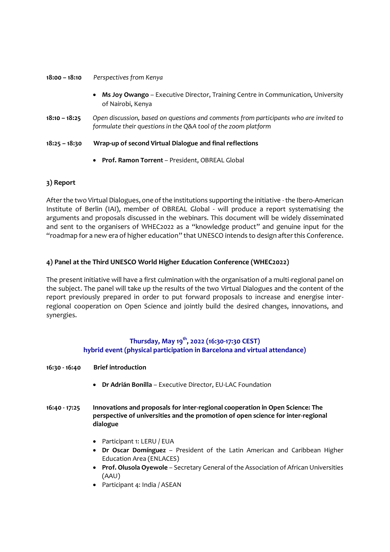### **18:00 – 18:10** *Perspectives from Kenya*

- **Ms Joy Owango**  Executive Director, Training Centre in Communication, University of Nairobi, Kenya
- **18:10 – 18:25** *Open discussion, based on questions and comments from participants who are invited to formulate their questions in the Q&A tool of the zoom platform*
- **18:25 – 18:30 Wrap-up of second Virtual Dialogue and final reflections**
	- **Prof. Ramon Torrent** President, OBREAL Global

# **3) Report**

After the two Virtual Dialogues, one of the institutions supporting the initiative -the Ibero-American Institute of Berlin (IAI), member of OBREAL Global - will produce a report systematising the arguments and proposals discussed in the webinars. This document will be widely disseminated and sent to the organisers of WHEC2022 as a "knowledge product" and genuine input for the "roadmap for a new era of higher education" that UNESCO intends to design after this Conference.

# **4) Panel at the Third UNESCO World Higher Education Conference (WHEC2022)**

The present initiative will have a first culmination with the organisation of a multi-regional panel on the subject. The panel will take up the results of the two Virtual Dialogues and the content of the report previously prepared in order to put forward proposals to increase and energise interregional cooperation on Open Science and jointly build the desired changes, innovations, and synergies.

# **Thursday, May 19th , 2022 (16:30-17:30 CEST) hybrid event (physical participation in Barcelona and virtual attendance)**

- **16:30 - 16:40 Brief introduction**
	- **Dr Adrián Bonilla** Executive Director, EU-LAC Foundation
- **16:40 - 17:25 Innovations and proposals for inter-regional cooperation in Open Science: The perspective of universities and the promotion of open science for inter-regional dialogue**
	- Participant 1: LERU / EUA
	- **Dr Oscar Domínguez** President of the Latin American and Caribbean Higher Education Area (ENLACES)
	- **Prof. Olusola Oyewole** Secretary General of the Association of African Universities (AAU)
	- Participant 4: India / ASEAN